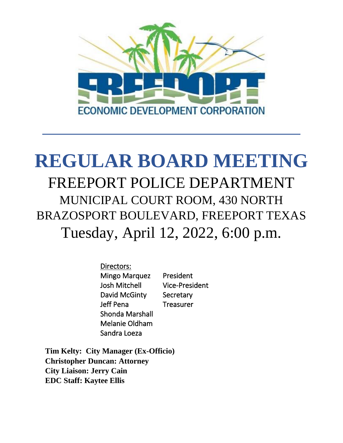

# **REGULAR BOARD MEETING** FREEPORT POLICE DEPARTMENT MUNICIPAL COURT ROOM, 430 NORTH BRAZOSPORT BOULEVARD, FREEPORT TEXAS Tuesday, April 12, 2022, 6:00 p.m.

Directors: Mingo Marquez President Josh Mitchell Vice-President David McGinty Secretary Jeff Pena Treasurer Shonda Marshall Melanie Oldham Sandra Loeza

**Tim Kelty: City Manager (Ex-Officio) Christopher Duncan: Attorney City Liaison: Jerry Cain EDC Staff: Kaytee Ellis**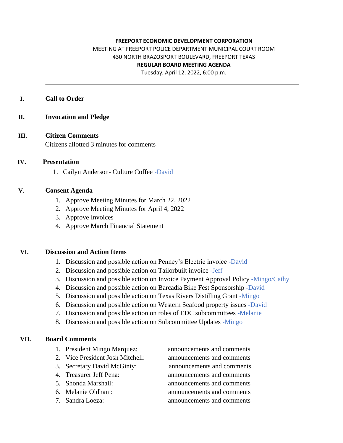#### **FREEPORT ECONOMIC DEVELOPMENT CORPORATION**

## MEETING AT FREEPORT POLICE DEPARTMENT MUNICIPAL COURT ROOM 430 NORTH BRAZOSPORT BOULEVARD, FREEPORT TEXAS **REGULAR BOARD MEETING AGENDA**

Tuesday, April 12, 2022, 6:00 p.m.

#### **I. Call to Order**

#### **II. Invocation and Pledge**

### **III. Citizen Comments**

Citizens allotted 3 minutes for comments

#### **IV. Presentation**

1. Cailyn Anderson- Culture Coffee -David

#### **V. Consent Agenda**

- 1. Approve Meeting Minutes for March 22, 2022
- 2. Approve Meeting Minutes for April 4, 2022
- 3. Approve Invoices
- 4. Approve March Financial Statement

#### **VI. Discussion and Action Items**

- 1. Discussion and possible action on Penney's Electric invoice -David
- 2. Discussion and possible action on Tailorbuilt invoice -Jeff
- 3. Discussion and possible action on Invoice Payment Approval Policy -Mingo/Cathy
- 4. Discussion and possible action on Barcadia Bike Fest Sponsorship -David
- 5. Discussion and possible action on Texas Rivers Distilling Grant -Mingo
- 6. Discussion and possible action on Western Seafood property issues -David
- 7. Discussion and possible action on roles of EDC subcommittees -Melanie
- 8. Discussion and possible action on Subcommittee Updates -Mingo

#### **VII. Board Comments**

- 1. President Mingo Marquez: announcements and comments
- 2. Vice President Josh Mitchell: announcements and comments
- 3. Secretary David McGinty: announcements and comments
- 
- 
- 
- 

4. Treasurer Jeff Pena: announcements and comments 5. Shonda Marshall: announcements and comments 6. Melanie Oldham: announcements and comments 7. Sandra Loeza: announcements and comments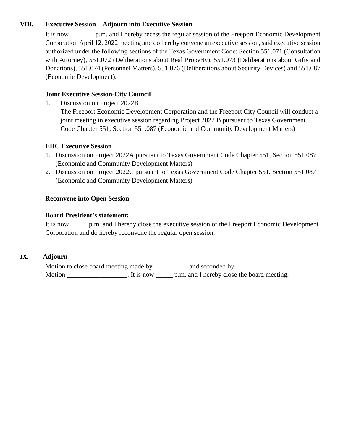#### **VIII. Executive Session – Adjourn into Executive Session**

It is now \_\_\_\_\_\_\_ p.m. and I hereby recess the regular session of the Freeport Economic Development Corporation April 12, 2022 meeting and do hereby convene an executive session, said executive session authorized under the following sections of the Texas Government Code: Section 551.071 (Consultation with Attorney), 551.072 (Deliberations about Real Property), 551.073 (Deliberations about Gifts and Donations), 551.074 (Personnel Matters), 551.076 (Deliberations about Security Devices) and 551.087 (Economic Development).

## **Joint Executive Session-City Council**

1. Discussion on Project 2022B

The Freeport Economic Development Corporation and the Freeport City Council will conduct a joint meeting in executive session regarding Project 2022 B pursuant to Texas Government Code Chapter 551, Section 551.087 (Economic and Community Development Matters)

## **EDC Executive Session**

- 1. Discussion on Project 2022A pursuant to Texas Government Code Chapter 551, Section 551.087 (Economic and Community Development Matters)
- 2. Discussion on Project 2022C pursuant to Texas Government Code Chapter 551, Section 551.087 (Economic and Community Development Matters)

## **Reconvene into Open Session**

### **Board President's statement:**

It is now \_\_\_\_\_ p.m. and I hereby close the executive session of the Freeport Economic Development Corporation and do hereby reconvene the regular open session.

## **IX. Adjourn**

| Motion to close board meeting made by |             |                                            |  |
|---------------------------------------|-------------|--------------------------------------------|--|
| Motion                                | . It is now | p.m. and I hereby close the board meeting. |  |